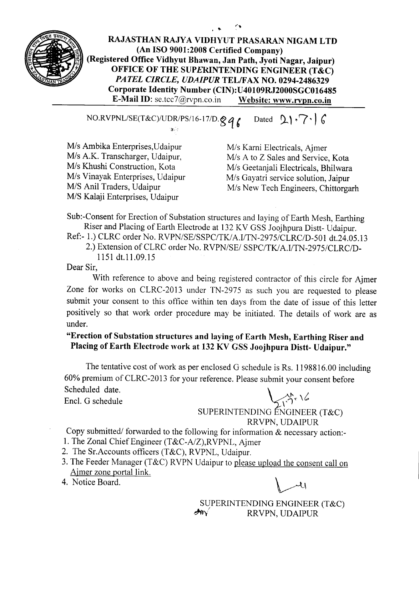

**RAJASTHAN RAJYA VIDHYUT PRASARAN NIGAM LTD (An ISO 9001:2008 Certified Company) (Registered Office Vidhyut Bhawan, Jan Path, Jyoti Nagar, Jaipur) OFFICE OF THE SUPERINTENDING ENGINEER (T&C)** *PATEL CIRCLE, UDAIPUR* **TEL/FAX NO. 0294-2486329 Corporate Identity Number (CIN): U40109RJ2000SGC016485 E-Mail ID:** se.tcc7@rvpn.co.in **Website: www.rvpn.co.in**

 $NO.RVPNL/SE(T&C)/UDR/PS/16-17/D.89$  **b** Dated  $2\cdot 7 \cdot 6$ 

 $\mathbf{y}$  .

*MIs* Ambika Enterprises,Udaipur M/s A.K. Transcharger, Udaipur, *MIs* Khushi Construction, Kota *Mis* Vinayak Enterprises, Udaipur *MIS* Anil Traders, Udaipur *MIS* Kalaji Enterprises, Udaipur

*Mis* Karni Electricals, Ajmer *Mis* A to Z Sales and Service, Kota *Mis* Geetanjali Electricals, Bhilwara *MIs* Gayatri service solution, Jaipur *MIs* New Tech Engineers, Chittorgarh

Sub:-Consent for Erection of Substation structures and laying of Earth Mesh, Earthing Riser and Placing of Earth Electrode at 132 KV GSS Joojhpura Distt- Udaipur.

Ref:- 1.) CLRC order No. *RVPN/SE/SSPC/TKlA.l/TN-2975/CLRC/D-501* dt.24.05.l3 2.) Extension of CLRC order No. *RVPN/SEI SSPC/TKI A.l/TN-2975/CLRC/D-*

1151 dt.l1.09.l5

Dear Sir,

With reference to above and being registered contractor of this circle for Ajmer Zone for works on CLRC-2013 under TN-2975 as such you are requested to please submit your consent to this office within ten days from the date of issue of this letter positively so that work order procedure may be initiated. The details of work are as under.

**"Erection of Substation structures and laying of Earth Mesh, Earthing Riser and Placing** of Earth **Electrode work at 132 KV GSS Joojhpura Distt- Udaipur."**

The tentative cost of work as per enclosed G schedule is Rs. 1198816.00 including 60% premium of CLRC-20 13 for your reference. Please submit your consent before Scheduled date. Encl. G schedule value vertices  $\bigvee_{i} \bigwedge_{i} \bigwedge_{i} \bigwedge_{i} \bigwedge_{i} \bigwedge_{i} \bigwedge_{i} \bigwedge_{i} \bigwedge_{i} \bigwedge_{i} \bigwedge_{i} \bigwedge_{i} \bigwedge_{i} \bigwedge_{i} \bigwedge_{i} \bigwedge_{i} \bigwedge_{i} \bigwedge_{i} \bigwedge_{i} \bigwedge_{i} \bigwedge_{i} \bigwedge_{i} \bigwedge_{i} \bigwedge_{i} \bigwedge_{i} \bigwedge_{i} \bigwedge_{i$ 

## SUPERINTENDING ENGINEER (T&C) RRVPN, UDAIPUR

Copy submitted/ forwarded to the following for information & necessary action:-

1. The Zonal Chief Engineer (T&C-A/Z),RVPNL, Ajmer

2. The Sr.Accounts officers (T&C), RVPNL, Udaipur.

- 3. The Feeder Manager (T&C) RVPN Udaipur to <u>please upload the consent call on</u> Ajmer zone portal link. 2. The Sr. Accounts officers (T&C), RVPNL, Udaipur.<br>3. The Feeder Manager (T&C) RVPN Udaipur to <u>please upload the con</u><br>A<u>jmer zone portal link.</u><br>4. Notice Board.
- 

SUPERINTENDING ENGINEER (T&C)  $\rightarrow$  RRVPN, UDAIPUR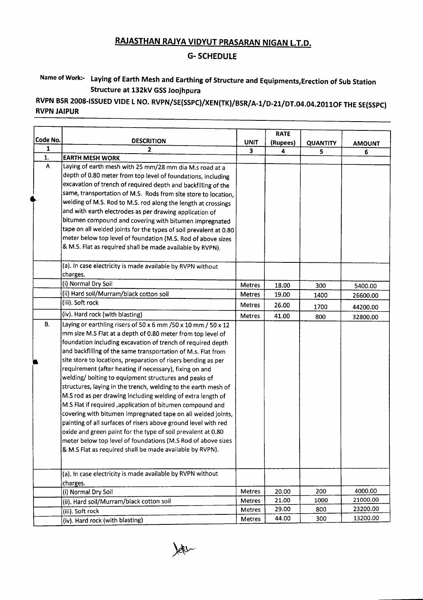## **RAJASTHAN RAJYA VIDYUT PRASARAN NIGAN L.T.D.**

## **G- SCHEDULE**

## **Name of Work:- Laying of Earth Mesh and Earthing of Structure and Equipments,Erection of Sub Station Structure at 132kV GSSJoojhpura**

**RVPN BSR200S-ISSUED VIDE L NO. RVPN/SE(SSPC}/XEN(TK)/BSR/A-l/D-21/DT.04.04.20110F THE SE(SSPC) RVPN JAIPUR**

|          |                                                                                                                           |               | <b>RATE</b> |                 |               |
|----------|---------------------------------------------------------------------------------------------------------------------------|---------------|-------------|-----------------|---------------|
| Code No. | <b>DESCRITION</b>                                                                                                         | <b>UNIT</b>   | (Rupees)    | <b>QUANTITY</b> | <b>AMOUNT</b> |
| 1        | $\mathbf{2}$                                                                                                              | 3             | 4           | 5               | 6             |
| 1.       | <b>EARTH MESH WORK</b>                                                                                                    |               |             |                 |               |
| A        | Laying of earth mesh with 25 mm/28 mm dia M.s road at a                                                                   |               |             |                 |               |
|          | depth of 0.80 meter from top level of foundations, including                                                              |               |             |                 |               |
|          | excavation of trench of required depth and backfilling of the                                                             |               |             |                 |               |
|          | same, transportation of M.S. Rods from site store to location,                                                            |               |             |                 |               |
|          | welding of M.S. Rod to M.S. rod along the length at crossings                                                             |               |             |                 |               |
|          | and with earth electrodes as per drawing application of                                                                   |               |             |                 |               |
|          | bitumen compound and covering with bitumen impregnated                                                                    |               |             |                 |               |
|          | tape on all welded joints for the types of soil prevalent at 0.80                                                         |               |             |                 |               |
|          | meter below top level of foundation (M.S. Rod of above sizes<br>& M.S. Flat as required shall be made available by RVPN). |               |             |                 |               |
|          |                                                                                                                           |               |             |                 |               |
|          | (a). In case electricity is made available by RVPN without                                                                |               |             |                 |               |
|          | charges.                                                                                                                  |               |             |                 |               |
|          | (i) Normal Dry Soil                                                                                                       | Metres        | 18.00       | 300             | 5400.00       |
|          | (ii) Hard soil/Murram/black cotton soil                                                                                   | Metres        | 19.00       | 1400            | 26600.00      |
|          | (iii). Soft rock                                                                                                          | Metres        | 26.00       | 1700            | 44200.00      |
|          | (iv). Hard rock (with blasting)                                                                                           | <b>Metres</b> | 41.00       | 800             | 32800.00      |
| В.       | Laying or earthling risers of 50 x 6 mm / 50 x 10 mm / 50 x 12                                                            |               |             |                 |               |
|          | mm size M.S Flat at a depth of 0.80 meter from top level of                                                               |               |             |                 |               |
|          | foundation including excavation of trench of required depth                                                               |               |             |                 |               |
|          | and backfilling of the same transportation of M.s. Flat from                                                              |               |             |                 |               |
|          | site store to locations, preparation of risers bending as per                                                             |               |             |                 |               |
|          | requirement (after heating if necessary), fixing on and                                                                   |               |             |                 |               |
|          | welding/ bolting to equipment structures and peaks of                                                                     |               |             |                 |               |
|          | structures, laying in the trench, welding to the earth mesh of                                                            |               |             |                 |               |
|          | M.S rod as per drawing including welding of extra length of                                                               |               |             |                 |               |
|          | M.S Flat if required , application of bitumen compound and                                                                |               |             |                 |               |
|          | covering with bitumen impregnated tape on all welded joints,                                                              |               |             |                 |               |
|          | painting of all surfaces of risers above ground level with red                                                            |               |             |                 |               |
|          | oxide and green paint for the type of soil prevalent at 0.80                                                              |               |             |                 |               |
|          | meter below top level of foundations (M.S Rod of above sizes<br>& M.S Flat as required shall be made available by RVPN).  |               |             |                 |               |
|          |                                                                                                                           |               |             |                 |               |
|          |                                                                                                                           |               |             |                 |               |
|          | (a). In case electricity is made available by RVPN without                                                                |               |             |                 |               |
|          | charges.<br>(i) Normal Dry Soil                                                                                           | Metres        | 20.00       | 200             | 4000.00       |
|          | (ii). Hard soil/Murram/black cotton soil                                                                                  | <b>Metres</b> | 21.00       | 1000            | 21000.00      |
|          | (iii). Soft rock                                                                                                          | Metres        | 29.00       | 800             | 23200.00      |
|          | (iv). Hard rock (with blasting)                                                                                           | Metres        | 44.00       | 300             | 13200.00      |

Jetu